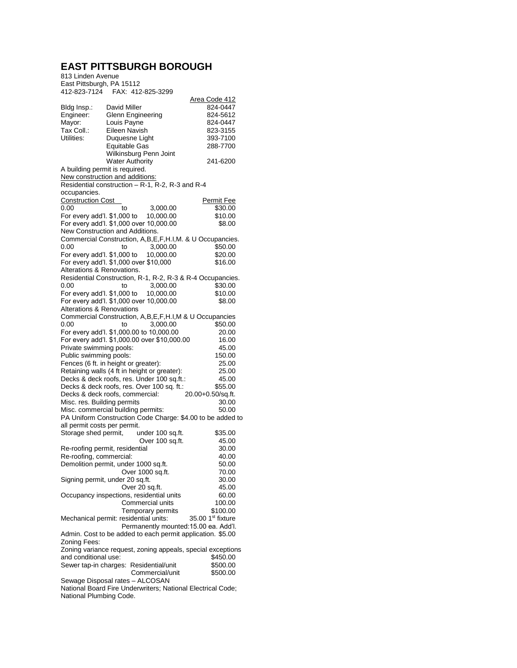## **EAST PITTSBURGH BOROUGH**

813 Linden Avenue East Pittsburgh, PA 15112 412-823-7124 FAX: 412-825-3299

|                                                                                                |               |                                                  | Area Code 412                                               |  |  |
|------------------------------------------------------------------------------------------------|---------------|--------------------------------------------------|-------------------------------------------------------------|--|--|
| Bldg Insp.:                                                                                    | David Miller  |                                                  | 824-0447                                                    |  |  |
| Engineer:                                                                                      |               | Glenn Engineering                                | 824-5612                                                    |  |  |
| Mayor:                                                                                         | Louis Payne   | 824-0447                                         |                                                             |  |  |
| Tax Coll.:                                                                                     | Eileen Navish |                                                  | 823-3155                                                    |  |  |
| Utilities:                                                                                     |               | Duquesne Light                                   | 393-7100                                                    |  |  |
|                                                                                                |               |                                                  |                                                             |  |  |
|                                                                                                | Equitable Gas |                                                  | 288-7700                                                    |  |  |
|                                                                                                |               | Wilkinsburg Penn Joint                           |                                                             |  |  |
|                                                                                                |               | <b>Water Authority</b>                           | 241-6200                                                    |  |  |
| A building permit is required.                                                                 |               |                                                  |                                                             |  |  |
| New construction and additions:                                                                |               |                                                  |                                                             |  |  |
|                                                                                                |               | Residential construction - R-1, R-2, R-3 and R-4 |                                                             |  |  |
|                                                                                                |               |                                                  |                                                             |  |  |
| occupancies.                                                                                   |               |                                                  |                                                             |  |  |
| <b>Construction Cost</b>                                                                       |               |                                                  | <b>Permit Fee</b>                                           |  |  |
| 0.00                                                                                           | to            | 3,000.00                                         | \$30.00                                                     |  |  |
| For every add'l. \$1,000 to                                                                    |               | 10,000.00                                        | \$10.00                                                     |  |  |
|                                                                                                |               | For every add'l. \$1,000 over 10,000.00          | \$8.00                                                      |  |  |
|                                                                                                |               |                                                  |                                                             |  |  |
| New Construction and Additions.                                                                |               |                                                  |                                                             |  |  |
|                                                                                                |               |                                                  | Commercial Construction, A,B,E,F,H.I,M. & U Occupancies.    |  |  |
| 0.00                                                                                           | to            | 3,000.00                                         | \$50.00                                                     |  |  |
| For every add'l. \$1,000 to                                                                    |               | 10,000.00                                        | \$20.00                                                     |  |  |
| For every add'l. \$1,000 over \$10,000                                                         |               |                                                  | \$16.00                                                     |  |  |
| Alterations & Renovations.                                                                     |               |                                                  |                                                             |  |  |
|                                                                                                |               |                                                  |                                                             |  |  |
|                                                                                                |               |                                                  | Residential Construction, R-1, R-2, R-3 & R-4 Occupancies.  |  |  |
| 0.00                                                                                           | to            | 3,000.00                                         | \$30.00                                                     |  |  |
| For every add'l. \$1,000 to                                                                    |               | 10,000.00                                        | \$10.00                                                     |  |  |
|                                                                                                |               | For every add'l. \$1,000 over 10,000.00          | \$8.00                                                      |  |  |
|                                                                                                |               |                                                  |                                                             |  |  |
| <b>Alterations &amp; Renovations</b><br>Commercial Construction, A,B,E,F,H.I,M & U Occupancies |               |                                                  |                                                             |  |  |
|                                                                                                |               |                                                  |                                                             |  |  |
| 0.00                                                                                           | to            | 3.000.00                                         | \$50.00                                                     |  |  |
|                                                                                                |               | For every add'l. \$1,000.00 to 10,000.00         | 20.00                                                       |  |  |
| For every add'l. \$1,000.00 over \$10,000.00                                                   |               |                                                  | 16.00                                                       |  |  |
| Private swimming pools:                                                                        |               |                                                  | 45.00                                                       |  |  |
| Public swimming pools:                                                                         |               |                                                  |                                                             |  |  |
|                                                                                                |               |                                                  | 150.00                                                      |  |  |
| Fences (6 ft. in height or greater):                                                           |               |                                                  | 25.00                                                       |  |  |
|                                                                                                |               | Retaining walls (4 ft in height or greater):     | 25.00                                                       |  |  |
|                                                                                                |               | Decks & deck roofs, res. Under 100 sq.ft.:       | 45.00                                                       |  |  |
| Decks & deck roofs, res. Over 100 sq. ft.:<br>\$55.00                                          |               |                                                  |                                                             |  |  |
| Decks & deck roofs, commercial:<br>20.00+0.50/sq.ft.                                           |               |                                                  |                                                             |  |  |
| Misc. res. Building permits                                                                    |               |                                                  |                                                             |  |  |
|                                                                                                | 30.00         |                                                  |                                                             |  |  |
| Misc. commercial building permits:                                                             |               |                                                  | 50.00                                                       |  |  |
| PA Uniform Construction Code Charge: \$4.00 to be added to                                     |               |                                                  |                                                             |  |  |
| all permit costs per permit.                                                                   |               |                                                  |                                                             |  |  |
| Storage shed permit,                                                                           |               | under 100 sq.ft.                                 | \$35.00                                                     |  |  |
|                                                                                                |               | Over 100 sq.ft.                                  | 45.00                                                       |  |  |
|                                                                                                |               |                                                  |                                                             |  |  |
| Re-roofing permit, residential                                                                 |               |                                                  | 30.00                                                       |  |  |
| Re-roofing, commercial:                                                                        |               |                                                  | 40.00                                                       |  |  |
| Demolition permit, under 1000 sq.ft.                                                           |               |                                                  | 50.00                                                       |  |  |
|                                                                                                |               | Over 1000 sq.ft.                                 | 70.00                                                       |  |  |
| Signing permit, under 20 sq.ft.                                                                |               |                                                  | 30.00                                                       |  |  |
|                                                                                                |               | Over 20 sq.ft.                                   |                                                             |  |  |
|                                                                                                |               |                                                  | 45.00                                                       |  |  |
|                                                                                                |               | Occupancy inspections, residential units         | 60.00                                                       |  |  |
|                                                                                                |               | <b>Commercial units</b>                          | 100.00                                                      |  |  |
|                                                                                                |               | Temporary permits                                | \$100.00                                                    |  |  |
| Mechanical permit: residential units:                                                          |               |                                                  | 35.00 1st fixture                                           |  |  |
|                                                                                                |               |                                                  | Permanently mounted: 15.00 ea. Add'l.                       |  |  |
|                                                                                                |               |                                                  |                                                             |  |  |
|                                                                                                |               |                                                  | Admin. Cost to be added to each permit application. \$5.00  |  |  |
| Zoning Fees:                                                                                   |               |                                                  |                                                             |  |  |
|                                                                                                |               |                                                  | Zoning variance request, zoning appeals, special exceptions |  |  |
| and conditional use:                                                                           |               |                                                  | \$450.00                                                    |  |  |
|                                                                                                |               | Sewer tap-in charges: Residential/unit           | \$500.00                                                    |  |  |
|                                                                                                |               | Commercial/unit                                  | \$500.00                                                    |  |  |
|                                                                                                |               |                                                  |                                                             |  |  |
| Sewage Disposal rates - ALCOSAN                                                                |               |                                                  |                                                             |  |  |
|                                                                                                |               |                                                  | National Board Fire Underwriters; National Electrical Code; |  |  |
| National Plumbing Code.                                                                        |               |                                                  |                                                             |  |  |